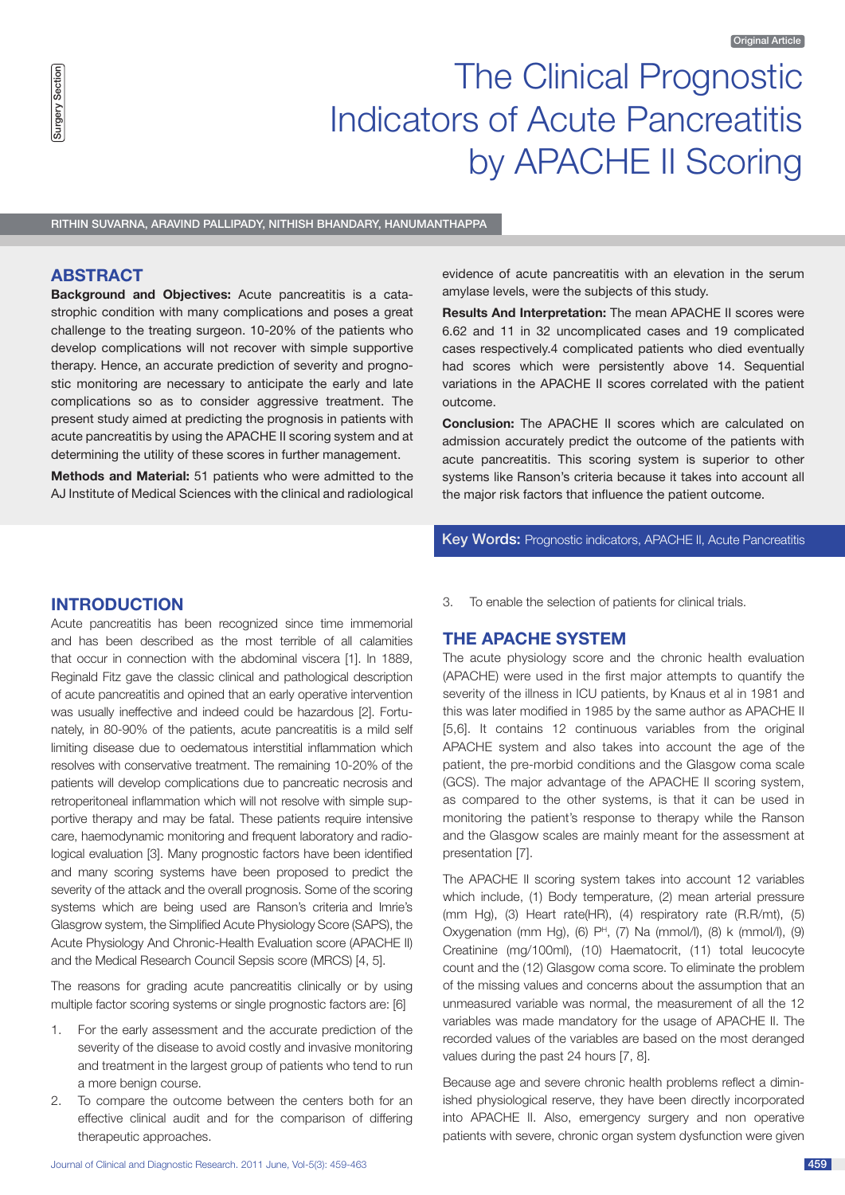# The Clinical Prognostic Indicators of Acute Pancreatitis by APACHE II Scoring

Rithin Suvarna, Aravind Pallipady, Nithish Bhandary, Hanumanthappa

## **ABSTRACT**

**Background and Objectives:** Acute pancreatitis is a catastrophic condition with many complications and poses a great challenge to the treating surgeon. 10-20% of the patients who develop complications will not recover with simple supportive therapy. Hence, an accurate prediction of severity and prognostic monitoring are necessary to anticipate the early and late complications so as to consider aggressive treatment. The present study aimed at predicting the prognosis in patients with acute pancreatitis by using the APACHE II scoring system and at determining the utility of these scores in further management.

**Methods and Material:** 51 patients who were admitted to the AJ Institute of Medical Sciences with the clinical and radiological evidence of acute pancreatitis with an elevation in the serum amylase levels, were the subjects of this study.

**Results And Interpretation:** The mean APACHE II scores were 6.62 and 11 in 32 uncomplicated cases and 19 complicated cases respectively.4 complicated patients who died eventually had scores which were persistently above 14. Sequential variations in the APACHE II scores correlated with the patient outcome.

**Conclusion:** The APACHE II scores which are calculated on admission accurately predict the outcome of the patients with acute pancreatitis. This scoring system is superior to other systems like Ranson's criteria because it takes into account all the major risk factors that influence the patient outcome.

# Key Words: Prognostic indicators, APACHE II, Acute Pancreatitis

# **INTRODUCTION**

Acute pancreatitis has been recognized since time immemorial and has been described as the most terrible of all calamities that occur in connection with the abdominal viscera [1]. In 1889, Reginald Fitz gave the classic clinical and pathological description of acute pancreatitis and opined that an early operative intervention was usually ineffective and indeed could be hazardous [2]. Fortunately, in 80-90% of the patients, acute pancreatitis is a mild self limiting disease due to oedematous interstitial inflammation which resolves with conservative treatment. The remaining 10-20% of the patients will develop complications due to pancreatic necrosis and retroperitoneal inflammation which will not resolve with simple supportive therapy and may be fatal. These patients require intensive care, haemodynamic monitoring and frequent laboratory and radiological evaluation [3]. Many prognostic factors have been identified and many scoring systems have been proposed to predict the severity of the attack and the overall prognosis. Some of the scoring systems which are being used are Ranson's criteria and lmrie's Glasgrow system, the Simplified Acute Physiology Score (SAPS), the Acute Physiology And Chronic-Health Evaluation score (APACHE II) and the Medical Research Council Sepsis score (MRCS) [4, 5].

The reasons for grading acute pancreatitis clinically or by using multiple factor scoring systems or single prognostic factors are: [6]

- 1. For the early assessment and the accurate prediction of the severity of the disease to avoid costly and invasive monitoring and treatment in the largest group of patients who tend to run a more benign course.
- 2. To compare the outcome between the centers both for an effective clinical audit and for the comparison of differing therapeutic approaches.

3. To enable the selection of patients for clinical trials.

# **THE APACHE SYSTEM**

The acute physiology score and the chronic health evaluation (APACHE) were used in the first major attempts to quantify the severity of the illness in ICU patients, by Knaus et al in 1981 and this was later modified in 1985 by the same author as APACHE II [5,6]. It contains 12 continuous variables from the original APACHE system and also takes into account the age of the patient, the pre-morbid conditions and the Glasgow coma scale (GCS). The major advantage of the APACHE II scoring system, as compared to the other systems, is that it can be used in monitoring the patient's response to therapy while the Ranson and the Glasgow scales are mainly meant for the assessment at presentation [7].

The APACHE II scoring system takes into account 12 variables which include, (1) Body temperature, (2) mean arterial pressure (mm Hg), (3) Heart rate(HR), (4) respiratory rate (R.R/mt), (5) Oxygenation (mm Hg),  $(6)$  P<sup>H</sup>,  $(7)$  Na (mmol/l),  $(8)$  k (mmol/l),  $(9)$ Creatinine (mg/100ml), (10) Haematocrit, (11) total leucocyte count and the (12) Glasgow coma score. To eliminate the problem of the missing values and concerns about the assumption that an unmeasured variable was normal, the measurement of all the 12 variables was made mandatory for the usage of APACHE II. The recorded values of the variables are based on the most deranged values during the past 24 hours [7, 8].

Because age and severe chronic health problems reflect a diminished physiological reserve, they have been directly incorporated into APACHE II. Also, emergency surgery and non operative patients with severe, chronic organ system dysfunction were given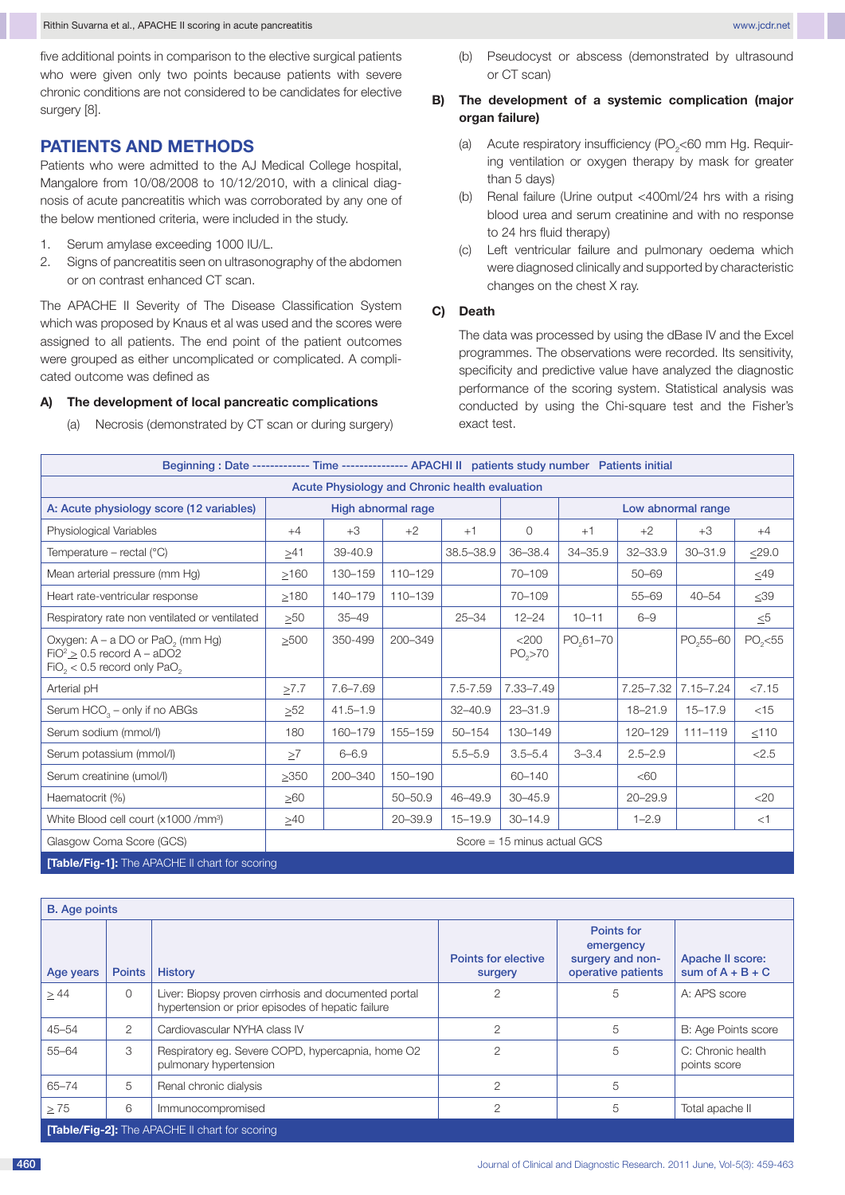five additional points in comparison to the elective surgical patients who were given only two points because patients with severe chronic conditions are not considered to be candidates for elective surgery [8].

# **PATIENTS AND METHODS**

Patients who were admitted to the AJ Medical College hospital, Mangalore from 10/08/2008 to 10/12/2010, with a clinical diagnosis of acute pancreatitis which was corroborated by any one of the below mentioned criteria, were included in the study.

- 1. Serum amylase exceeding 1000 IU/L.
- 2. Signs of pancreatitis seen on ultrasonography of the abdomen or on contrast enhanced CT scan.

The APACHE II Severity of The Disease Classification System which was proposed by Knaus et al was used and the scores were assigned to all patients. The end point of the patient outcomes were grouped as either uncomplicated or complicated. A complicated outcome was defined as

#### **A) The development of local pancreatic complications**

(a) Necrosis (demonstrated by CT scan or during surgery)

## **B) The development of a systemic complication (major organ failure)**

- (a) Acute respiratory insufficiency ( $PO_{2}$ <60 mm Hg. Requiring ventilation or oxygen therapy by mask for greater than 5 days)
- (b) Renal failure (Urine output <400ml/24 hrs with a rising blood urea and serum creatinine and with no response to 24 hrs fluid therapy)
- (c) Left ventricular failure and pulmonary oedema which were diagnosed clinically and supported by characteristic changes on the chest X ray.

#### **C) Death**

The data was processed by using the dBase IV and the Excel programmes. The observations were recorded. Its sensitivity, specificity and predictive value have analyzed the diagnostic performance of the scoring system. Statistical analysis was conducted by using the Chi-square test and the Fisher's exact test.

| Beginning: Date ------------- Time --------------- APACHI II patients study number Patients initial                     |                               |              |             |             |                              |                       |               |                       |           |
|-------------------------------------------------------------------------------------------------------------------------|-------------------------------|--------------|-------------|-------------|------------------------------|-----------------------|---------------|-----------------------|-----------|
| Acute Physiology and Chronic health evaluation                                                                          |                               |              |             |             |                              |                       |               |                       |           |
| A: Acute physiology score (12 variables)                                                                                | High abnormal rage            |              |             |             |                              | Low abnormal range    |               |                       |           |
| Physiological Variables                                                                                                 | $+4$                          | $+3$         | $+2$        | $+1$        | $\Omega$                     | $+1$                  | $+2$          | $+3$                  | $+4$      |
| Temperature – rectal $(^{\circ}C)$                                                                                      | $\geq 41$                     | 39-40.9      |             | 38.5-38.9   | 36-38.4                      | $34 - 35.9$           | $32 - 33.9$   | $30 - 31.9$           | $<$ 29.0  |
| Mean arterial pressure (mm Hg)                                                                                          | >160                          | 130-159      | 110-129     |             | 70-109                       |                       | $50 - 69$     |                       | $\leq 49$ |
| Heart rate-ventricular response                                                                                         | $\geq$ 180                    | 140-179      | 110-139     |             | 70-109                       |                       | $55 - 69$     | $40 - 54$             | $\leq 39$ |
| Respiratory rate non ventilated or ventilated                                                                           | >50                           | $35 - 49$    |             | $25 - 34$   | $12 - 24$                    | $10 - 11$             | $6 - 9$       |                       | $\leq 5$  |
| Oxygen: $A - a DO$ or $PaO2$ (mm Hg)<br>$FiO2$ $\geq$ 0.5 record A – aDO2<br>$FiO_2 < 0.5$ record only PaO <sub>2</sub> | >500                          | 350-499      | 200-349     |             | <200<br>PO <sub>2</sub> > 70 | PO <sub>2</sub> 61-70 |               | PO <sub>2</sub> 55-60 | $PO2<$ 55 |
| Arterial pH                                                                                                             | $\geq 7.7$                    | $7.6 - 7.69$ |             | 7.5-7.59    | 7.33-7.49                    |                       | $7.25 - 7.32$ | $7.15 - 7.24$         | < 7.15    |
| Serum $HCO3 - only if no ABGs$                                                                                          | >52                           | $41.5 - 1.9$ |             | $32 - 40.9$ | $23 - 31.9$                  |                       | 18-21.9       | $15 - 17.9$           | $<$ 15    |
| Serum sodium (mmol/l)                                                                                                   | 180                           | 160-179      | 155-159     | $50 - 154$  | 130-149                      |                       | 120-129       | $111 - 119$           | < 110     |
| Serum potassium (mmol/l)                                                                                                | $\geq 7$                      | $6 - 6.9$    |             | $5.5 - 5.9$ | $3.5 - 5.4$                  | $3 - 3.4$             | $2.5 - 2.9$   |                       | < 2.5     |
| Serum creatinine (umol/l)                                                                                               | >350                          | 200-340      | 150-190     |             | 60-140                       |                       | <60           |                       |           |
| Haematocrit (%)                                                                                                         | $\geq 60$                     |              | $50 - 50.9$ | 46-49.9     | $30 - 45.9$                  |                       | $20 - 29.9$   |                       | $<$ 20    |
| White Blood cell court (x1000 /mm <sup>3</sup> )                                                                        | $\geq 40$                     |              | $20 - 39.9$ | $15 - 19.9$ | $30 - 14.9$                  |                       | $1 - 2.9$     |                       | $<$ 1     |
| Glasgow Coma Score (GCS)                                                                                                | Score = $15$ minus actual GCS |              |             |             |                              |                       |               |                       |           |
| <b>[Table/Fig-1]:</b> The APACHE II chart for scoring                                                                   |                               |              |             |             |                              |                       |               |                       |           |
|                                                                                                                         |                               |              |             |             |                              |                       |               |                       |           |

| <b>B.</b> Age points                                 |               |                                                                                                           |                                       |                                                                   |                                        |  |  |
|------------------------------------------------------|---------------|-----------------------------------------------------------------------------------------------------------|---------------------------------------|-------------------------------------------------------------------|----------------------------------------|--|--|
| Age years                                            | <b>Points</b> | <b>History</b>                                                                                            | <b>Points for elective</b><br>surgery | Points for<br>emergency<br>surgery and non-<br>operative patients | Apache II score:<br>sum of $A + B + C$ |  |  |
| >44                                                  | $\Omega$      | Liver: Biopsy proven cirrhosis and documented portal<br>hypertension or prior episodes of hepatic failure |                                       | 5                                                                 | A: APS score                           |  |  |
| $45 - 54$                                            | 2             | Cardiovascular NYHA class IV                                                                              | $\overline{2}$                        | 5                                                                 | <b>B: Age Points score</b>             |  |  |
| $55 - 64$                                            | 3             | Respiratory eg. Severe COPD, hypercapnia, home O2<br>pulmonary hypertension                               | $\overline{2}$                        | 5                                                                 | C: Chronic health<br>points score      |  |  |
| $65 - 74$                                            | 5             | Renal chronic dialysis                                                                                    | 2                                     | 5                                                                 |                                        |  |  |
| >75                                                  | 6             | Immunocompromised                                                                                         | $\overline{2}$                        | 5                                                                 | Total apache II                        |  |  |
| <b>Table/Fig-21:</b> The APACHE II chart for scoring |               |                                                                                                           |                                       |                                                                   |                                        |  |  |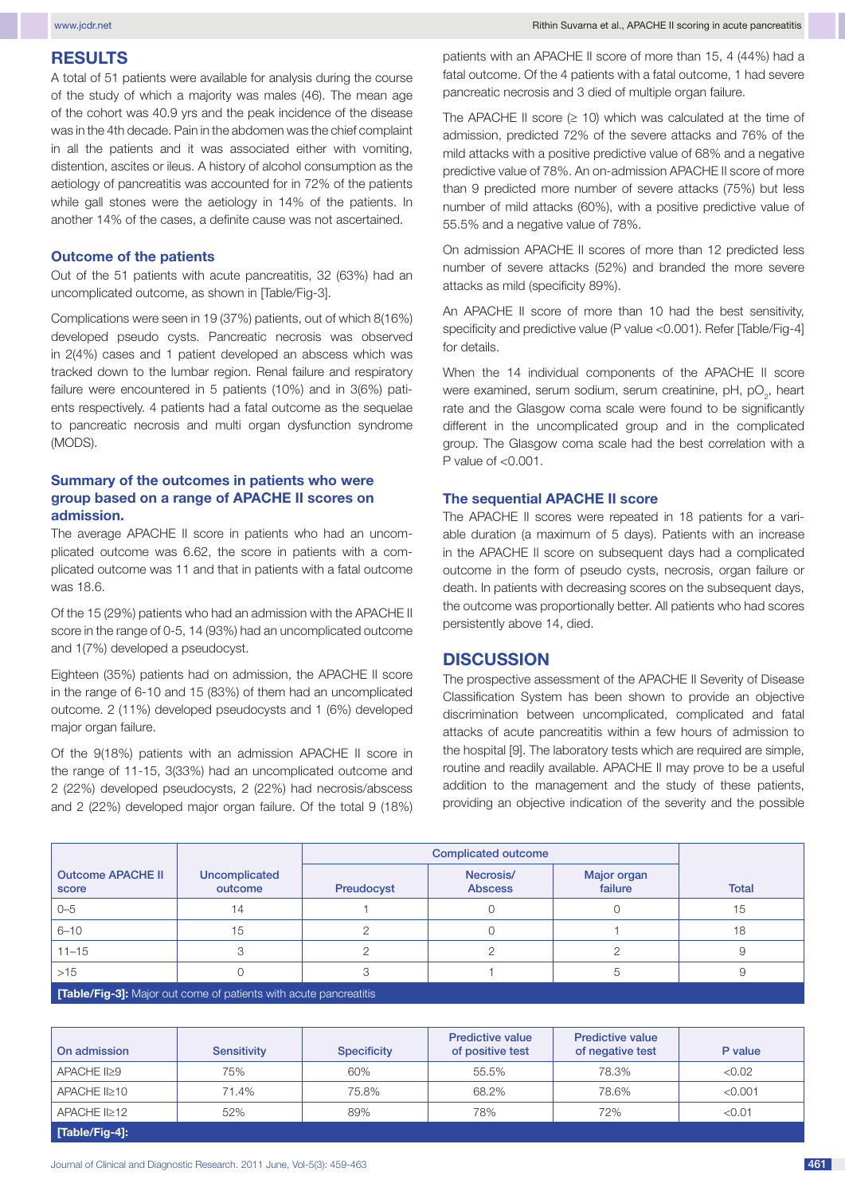## **RESULTS**

A total of 51 patients were available for analysis during the course of the study of which a majority was males (46). The mean age of the cohort was 40.9 yrs and the peak incidence of the disease was in the 4th decade. Pain in the abdomen was the chief complaint in all the patients and it was associated either with vomiting, distention, ascites or ileus. A history of alcohol consumption as the aetiology of pancreatitis was accounted for in 72% of the patients while gall stones were the aetiology in 14% of the patients. In another 14% of the cases, a definite cause was not ascertained.

#### **Outcome of the patients**

Out of the 51 patients with acute pancreatitis, 32 (63%) had an uncomplicated outcome, as shown in [Table/Fig-3].

Complications were seen in 19 (37%) patients, out of which 8(16%) developed pseudo cysts. Pancreatic necrosis was observed in 2(4%) cases and 1 patient developed an abscess which was tracked down to the lumbar region. Renal failure and respiratory failure were encountered in 5 patients (10%) and in 3(6%) patients respectively. 4 patients had a fatal outcome as the sequelae to pancreatic necrosis and multi organ dysfunction syndrome (MODS).

## **Summary of the outcomes in patients who were group based on a range of APACHE II scores on admission.**

The average APACHE II score in patients who had an uncomplicated outcome was 6.62, the score in patients with a complicated outcome was 11 and that in patients with a fatal outcome was 18.6.

Of the 15 (29%) patients who had an admission with the APACHE II score in the range of 0-5, 14 (93%) had an uncomplicated outcome and 1(7%) developed a pseudocyst.

Eighteen (35%) patients had on admission, the APACHE II score in the range of 6-10 and 15 (83%) of them had an uncomplicated outcome. 2 (11%) developed pseudocysts and 1 (6%) developed major organ failure.

Of the 9(18%) patients with an admission APACHE II score in the range of 11-15, 3(33%) had an uncomplicated outcome and 2 (22%) developed pseudocysts, 2 (22%) had necrosis/abscess and 2 (22%) developed major organ failure. Of the total 9 (18%) patients with an APACHE II score of more than 15, 4 (44%) had a fatal outcome. Of the 4 patients with a fatal outcome, 1 had severe pancreatic necrosis and 3 died of multiple organ failure.

The APACHE II score  $(≥ 10)$  which was calculated at the time of admission, predicted 72% of the severe attacks and 76% of the mild attacks with a positive predictive value of 68% and a negative predictive value of 78%. An on-admission APACHE II score of more than 9 predicted more number of severe attacks (75%) but less number of mild attacks (60%), with a positive predictive value of 55.5% and a negative value of 78%.

On admission APACHE II scores of more than 12 predicted less number of severe attacks (52%) and branded the more severe attacks as mild (specificity 89%).

An APACHE II score of more than 10 had the best sensitivity, specificity and predictive value (P value <0.001). Refer [Table/Fig-4] for details.

When the 14 individual components of the APACHE II score were examined, serum sodium, serum creatinine, pH, pO<sub>2</sub>, heart rate and the Glasgow coma scale were found to be significantly different in the uncomplicated group and in the complicated group. The Glasgow coma scale had the best correlation with a P value of <0.001.

## **The sequential APACHE II score**

The APACHE II scores were repeated in 18 patients for a variable duration (a maximum of 5 days). Patients with an increase in the APACHE II score on subsequent days had a complicated outcome in the form of pseudo cysts, necrosis, organ failure or death. In patients with decreasing scores on the subsequent days, the outcome was proportionally better. All patients who had scores persistently above 14, died.

# **DISCUSSION**

The prospective assessment of the APACHE II Severity of Disease Classification System has been shown to provide an objective discrimination between uncomplicated, complicated and fatal attacks of acute pancreatitis within a few hours of admission to the hospital [9]. The laboratory tests which are required are simple, routine and readily available. APACHE II may prove to be a useful addition to the management and the study of these patients, providing an objective indication of the severity and the possible

|                                                                          |                          | <b>Complicated outcome</b> |                             |                        |              |  |
|--------------------------------------------------------------------------|--------------------------|----------------------------|-----------------------------|------------------------|--------------|--|
| <b>Outcome APACHE II</b><br>score                                        | Uncomplicated<br>outcome | Preudocyst                 | Necrosis/<br><b>Abscess</b> | Major organ<br>failure | <b>Total</b> |  |
| $0 - 5$                                                                  | 14                       |                            |                             |                        | 15           |  |
| $6 - 10$                                                                 | 15                       |                            |                             |                        | 18           |  |
| $11 - 15$                                                                |                          |                            |                             |                        |              |  |
| $>15$                                                                    |                          |                            |                             |                        |              |  |
| <b>[Table/Fig-3]:</b> Major out come of patients with acute pancreatitis |                          |                            |                             |                        |              |  |

| On admission            | <b>Sensitivity</b> | <b>Specificity</b> | <b>Predictive value</b><br>of positive test | <b>Predictive value</b><br>of negative test | P value |
|-------------------------|--------------------|--------------------|---------------------------------------------|---------------------------------------------|---------|
| APACHE II>9             | 75%                | 60%                | 55.5%                                       | 78.3%                                       | < 0.02  |
| APACHE I <sub>210</sub> | 71.4%              | 75.8%              | 68.2%                                       | 78.6%                                       | < 0.001 |
| APACHE II>12            | 52%                | 89%                | 78%                                         | 72%                                         | < 0.01  |
| [Table/Fig-4]:          |                    |                    |                                             |                                             |         |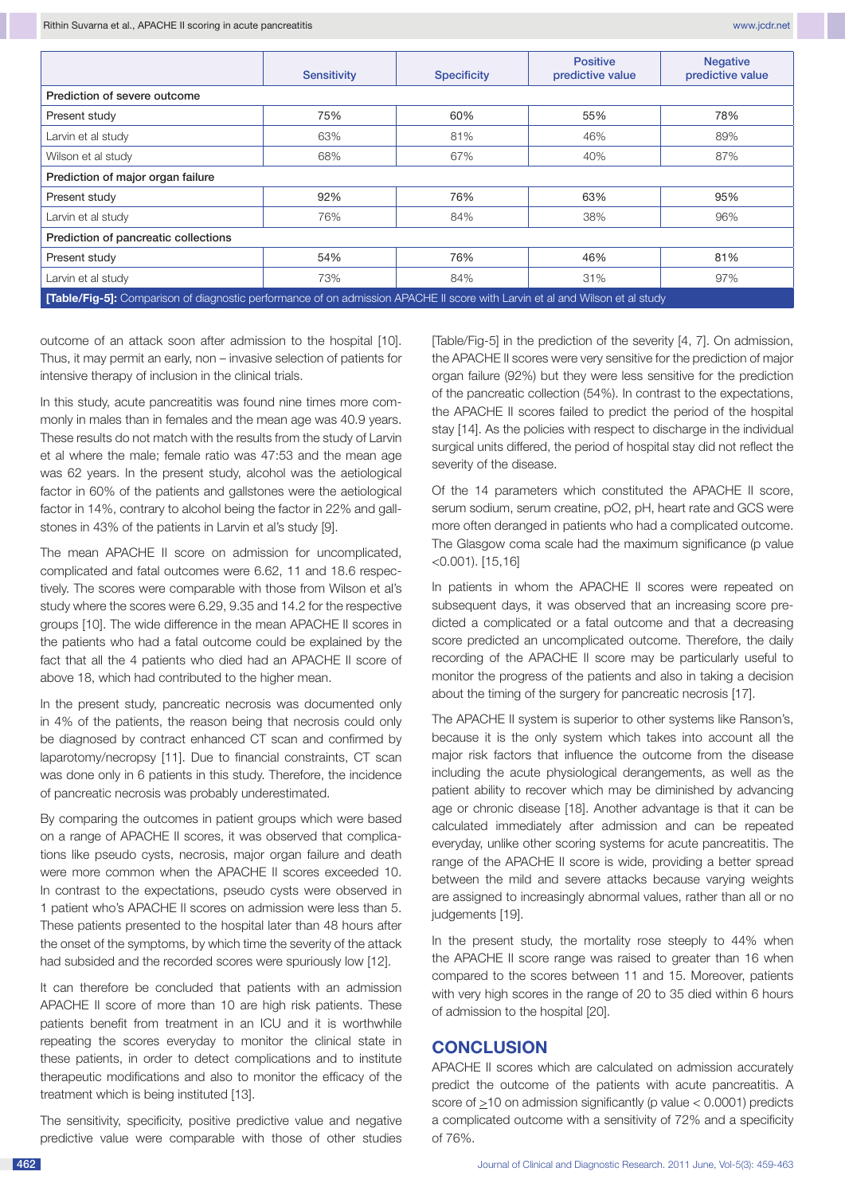|                                                                                                                                     | <b>Sensitivity</b> | <b>Specificity</b> | <b>Positive</b><br>predictive value | <b>Negative</b><br>predictive value |  |  |  |  |
|-------------------------------------------------------------------------------------------------------------------------------------|--------------------|--------------------|-------------------------------------|-------------------------------------|--|--|--|--|
| Prediction of severe outcome                                                                                                        |                    |                    |                                     |                                     |  |  |  |  |
| Present study                                                                                                                       | 75%                | 60%                | 55%                                 | 78%                                 |  |  |  |  |
| Larvin et al study                                                                                                                  | 63%                | 81%                | 46%                                 | 89%                                 |  |  |  |  |
| Wilson et al study                                                                                                                  | 68%                | 67%                | 40%                                 | 87%                                 |  |  |  |  |
| Prediction of major organ failure                                                                                                   |                    |                    |                                     |                                     |  |  |  |  |
| Present study                                                                                                                       | 92%                | 76%                | 63%                                 | 95%                                 |  |  |  |  |
| Larvin et al study                                                                                                                  | 76%                | 84%                | 38%                                 | 96%                                 |  |  |  |  |
| Prediction of pancreatic collections                                                                                                |                    |                    |                                     |                                     |  |  |  |  |
| Present study                                                                                                                       | 54%                | 76%                | 46%                                 | 81%                                 |  |  |  |  |
| Larvin et al study                                                                                                                  | 73%                | 84%                | 31%                                 | 97%                                 |  |  |  |  |
| <b>[Table/Fig-5]:</b> Comparison of diagnostic performance of on admission APACHE II score with Larvin et al and Wilson et al study |                    |                    |                                     |                                     |  |  |  |  |

outcome of an attack soon after admission to the hospital [10]. Thus, it may permit an early, non – invasive selection of patients for intensive therapy of inclusion in the clinical trials.

In this study, acute pancreatitis was found nine times more commonly in males than in females and the mean age was 40.9 years. These results do not match with the results from the study of Larvin et al where the male; female ratio was 47:53 and the mean age was 62 years. In the present study, alcohol was the aetiological factor in 60% of the patients and gallstones were the aetiological factor in 14%, contrary to alcohol being the factor in 22% and gallstones in 43% of the patients in Larvin et al's study [9].

The mean APACHE II score on admission for uncomplicated, complicated and fatal outcomes were 6.62, 11 and 18.6 respectively. The scores were comparable with those from Wilson et al's study where the scores were 6.29, 9.35 and 14.2 for the respective groups [10]. The wide difference in the mean APACHE II scores in the patients who had a fatal outcome could be explained by the fact that all the 4 patients who died had an APACHE II score of above 18, which had contributed to the higher mean.

In the present study, pancreatic necrosis was documented only in 4% of the patients, the reason being that necrosis could only be diagnosed by contract enhanced CT scan and confirmed by laparotomy/necropsy [11]. Due to financial constraints, CT scan was done only in 6 patients in this study. Therefore, the incidence of pancreatic necrosis was probably underestimated.

By comparing the outcomes in patient groups which were based on a range of APACHE II scores, it was observed that complications like pseudo cysts, necrosis, major organ failure and death were more common when the APACHE II scores exceeded 10. In contrast to the expectations, pseudo cysts were observed in 1 patient who's APACHE II scores on admission were less than 5. These patients presented to the hospital later than 48 hours after the onset of the symptoms, by which time the severity of the attack had subsided and the recorded scores were spuriously low [12].

It can therefore be concluded that patients with an admission APACHE II score of more than 10 are high risk patients. These patients benefit from treatment in an ICU and it is worthwhile repeating the scores everyday to monitor the clinical state in these patients, in order to detect complications and to institute therapeutic modifications and also to monitor the efficacy of the treatment which is being instituted [13].

The sensitivity, specificity, positive predictive value and negative predictive value were comparable with those of other studies [Table/Fig-5] in the prediction of the severity [4, 7]. On admission, the APACHE II scores were very sensitive for the prediction of major organ failure (92%) but they were less sensitive for the prediction of the pancreatic collection (54%). In contrast to the expectations, the APACHE II scores failed to predict the period of the hospital stay [14]. As the policies with respect to discharge in the individual surgical units differed, the period of hospital stay did not reflect the severity of the disease.

Of the 14 parameters which constituted the APACHE II score, serum sodium, serum creatine, pO2, pH, heart rate and GCS were more often deranged in patients who had a complicated outcome. The Glasgow coma scale had the maximum significance (p value <0.001). [15,16]

In patients in whom the APACHE II scores were repeated on subsequent days, it was observed that an increasing score predicted a complicated or a fatal outcome and that a decreasing score predicted an uncomplicated outcome. Therefore, the daily recording of the APACHE II score may be particularly useful to monitor the progress of the patients and also in taking a decision about the timing of the surgery for pancreatic necrosis [17].

The APACHE II system is superior to other systems like Ranson's, because it is the only system which takes into account all the major risk factors that influence the outcome from the disease including the acute physiological derangements, as well as the patient ability to recover which may be diminished by advancing age or chronic disease [18]. Another advantage is that it can be calculated immediately after admission and can be repeated everyday, unlike other scoring systems for acute pancreatitis. The range of the APACHE II score is wide, providing a better spread between the mild and severe attacks because varying weights are assigned to increasingly abnormal values, rather than all or no judgements [19].

In the present study, the mortality rose steeply to 44% when the APACHE II score range was raised to greater than 16 when compared to the scores between 11 and 15. Moreover, patients with very high scores in the range of 20 to 35 died within 6 hours of admission to the hospital [20].

# **CONCLUSION**

APACHE II scores which are calculated on admission accurately predict the outcome of the patients with acute pancreatitis. A score of  $\geq$ 10 on admission significantly (p value  $<$  0.0001) predicts a complicated outcome with a sensitivity of 72% and a specificity of 76%.